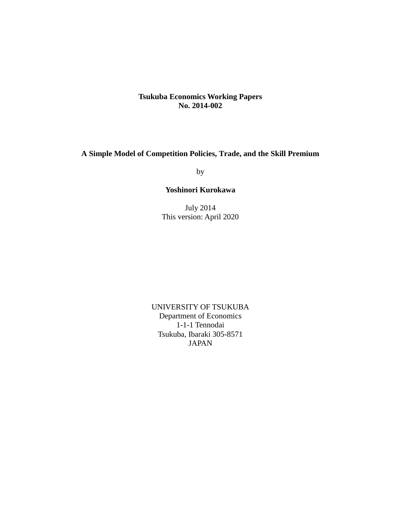## **Tsukuba Economics Working Papers No. 2014-002**

## **A Simple Model of Competition Policies, Trade, and the Skill Premium**

by

## **Yoshinori Kurokawa**

July 2014 This version: April 2020

UNIVERSITY OF TSUKUBA Department of Economics 1-1-1 Tennodai Tsukuba, Ibaraki 305-8571 JAPAN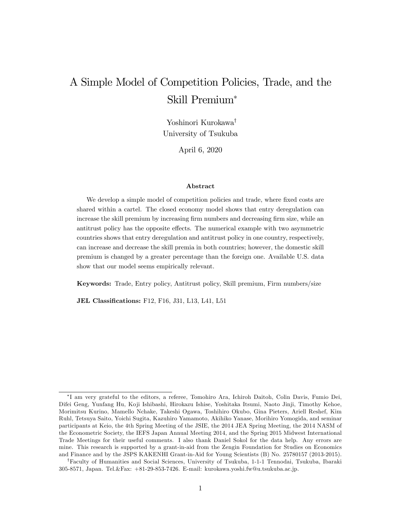# A Simple Model of Competition Policies, Trade, and the Skill Premium

Yoshinori Kurokawa<sup>†</sup> University of Tsukuba

April 6, 2020

#### Abstract

We develop a simple model of competition policies and trade, where fixed costs are shared within a cartel. The closed economy model shows that entry deregulation can increase the skill premium by increasing firm numbers and decreasing firm size, while an antitrust policy has the opposite effects. The numerical example with two asymmetric countries shows that entry deregulation and antitrust policy in one country, respectively, can increase and decrease the skill premia in both countries; however, the domestic skill premium is changed by a greater percentage than the foreign one. Available U.S. data show that our model seems empirically relevant.

Keywords: Trade, Entry policy, Antitrust policy, Skill premium, Firm numbers/size

JEL Classifications: F12, F16, J31, L13, L41, L51

I am very grateful to the editors, a referee, Tomohiro Ara, Ichiroh Daitoh, Colin Davis, Fumio Dei, Difei Geng, Yunfang Hu, Koji Ishibashi, Hirokazu Ishise, Yoshitaka Itsumi, Naoto Jinji, Timothy Kehoe, Morimitsu Kurino, Mamello Nchake, Takeshi Ogawa, Toshihiro Okubo, Gina Pieters, Ariell Reshef, Kim Ruhl, Tetsuya Saito, Yoichi Sugita, Kazuhiro Yamamoto, Akihiko Yanase, Morihiro Yomogida, and seminar participants at Keio, the 4th Spring Meeting of the JSIE, the 2014 JEA Spring Meeting, the 2014 NASM of the Econometric Society, the IEFS Japan Annual Meeting 2014, and the Spring 2015 Midwest International Trade Meetings for their useful comments. I also thank Daniel Sokol for the data help. Any errors are mine. This research is supported by a grant-in-aid from the Zengin Foundation for Studies on Economics and Finance and by the JSPS KAKENHI Grant-in-Aid for Young Scientists (B) No. 25780157 (2013-2015).

<sup>&</sup>lt;sup>†</sup>Faculty of Humanities and Social Sciences, University of Tsukuba, 1-1-1 Tennodai, Tsukuba, Ibaraki 305-8571, Japan. Tel.&Fax: +81-29-853-7426. E-mail: kurokawa.yoshi.fw@u.tsukuba.ac.jp.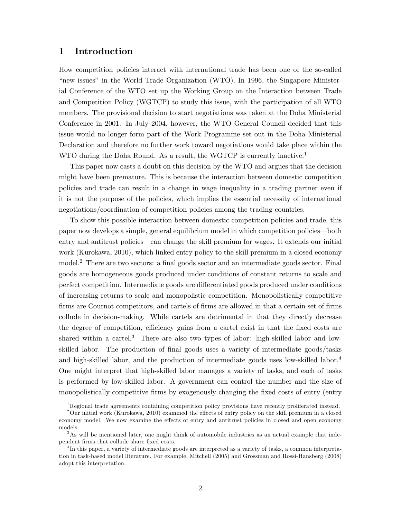## 1 Introduction

How competition policies interact with international trade has been one of the so-called "new issues" in the World Trade Organization (WTO). In 1996, the Singapore Ministerial Conference of the WTO set up the Working Group on the Interaction between Trade and Competition Policy (WGTCP) to study this issue, with the participation of all WTO members. The provisional decision to start negotiations was taken at the Doha Ministerial Conference in 2001. In July 2004, however, the WTO General Council decided that this issue would no longer form part of the Work Programme set out in the Doha Ministerial Declaration and therefore no further work toward negotiations would take place within the WTO during the Doha Round. As a result, the WGTCP is currently inactive.<sup>1</sup>

This paper now casts a doubt on this decision by the WTO and argues that the decision might have been premature. This is because the interaction between domestic competition policies and trade can result in a change in wage inequality in a trading partner even if it is not the purpose of the policies, which implies the essential necessity of international negotiations/coordination of competition policies among the trading countries.

To show this possible interaction between domestic competition policies and trade, this paper now develops a simple, general equilibrium model in which competition policies—both entry and antitrust policies—can change the skill premium for wages. It extends our initial work (Kurokawa, 2010), which linked entry policy to the skill premium in a closed economy  $\text{model.}^2$  There are two sectors: a final goods sector and an intermediate goods sector. Final goods are homogeneous goods produced under conditions of constant returns to scale and perfect competition. Intermediate goods are differentiated goods produced under conditions of increasing returns to scale and monopolistic competition. Monopolistically competitive Örms are Cournot competitors, and cartels of Örms are allowed in that a certain set of Örms collude in decision-making. While cartels are detrimental in that they directly decrease the degree of competition, efficiency gains from a cartel exist in that the fixed costs are shared within a cartel.<sup>3</sup> There are also two types of labor: high-skilled labor and lowskilled labor. The production of final goods uses a variety of intermediate goods/tasks and high-skilled labor, and the production of intermediate goods uses low-skilled labor.<sup>4</sup> One might interpret that high-skilled labor manages a variety of tasks, and each of tasks is performed by low-skilled labor. A government can control the number and the size of monopolistically competitive firms by exogenously changing the fixed costs of entry (entry

<sup>&</sup>lt;sup>1</sup>Regional trade agreements containing competition policy provisions have recently proliferated instead.

 $2$ Our initial work (Kurokawa, 2010) examined the effects of entry policy on the skill premium in a closed economy model. We now examine the effects of entry and antitrust policies in closed and open economy models.

<sup>&</sup>lt;sup>3</sup>As will be mentioned later, one might think of automobile industries as an actual example that independent firms that collude share fixed costs.

<sup>4</sup> In this paper, a variety of intermediate goods are interpreted as a variety of tasks, a common interpretation in task-based model literature. For example, Mitchell (2005) and Grossman and Rossi-Hansberg (2008) adopt this interpretation.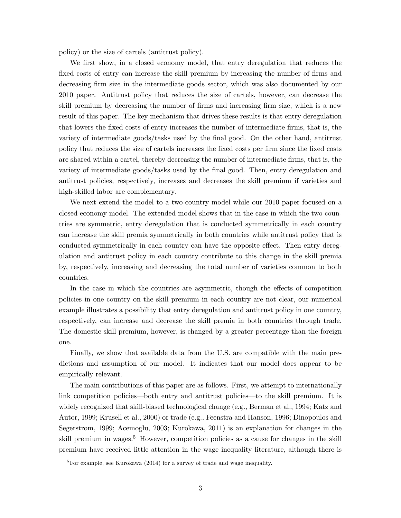policy) or the size of cartels (antitrust policy).

We first show, in a closed economy model, that entry deregulation that reduces the fixed costs of entry can increase the skill premium by increasing the number of firms and decreasing firm size in the intermediate goods sector, which was also documented by our 2010 paper. Antitrust policy that reduces the size of cartels, however, can decrease the skill premium by decreasing the number of firms and increasing firm size, which is a new result of this paper. The key mechanism that drives these results is that entry deregulation that lowers the fixed costs of entry increases the number of intermediate firms, that is, the variety of intermediate goods/tasks used by the final good. On the other hand, antitrust policy that reduces the size of cartels increases the Öxed costs per Örm since the Öxed costs are shared within a cartel, thereby decreasing the number of intermediate firms, that is, the variety of intermediate goods/tasks used by the final good. Then, entry deregulation and antitrust policies, respectively, increases and decreases the skill premium if varieties and high-skilled labor are complementary.

We next extend the model to a two-country model while our 2010 paper focused on a closed economy model. The extended model shows that in the case in which the two countries are symmetric, entry deregulation that is conducted symmetrically in each country can increase the skill premia symmetrically in both countries while antitrust policy that is conducted symmetrically in each country can have the opposite effect. Then entry deregulation and antitrust policy in each country contribute to this change in the skill premia by, respectively, increasing and decreasing the total number of varieties common to both countries.

In the case in which the countries are asymmetric, though the effects of competition policies in one country on the skill premium in each country are not clear, our numerical example illustrates a possibility that entry deregulation and antitrust policy in one country, respectively, can increase and decrease the skill premia in both countries through trade. The domestic skill premium, however, is changed by a greater percentage than the foreign one.

Finally, we show that available data from the U.S. are compatible with the main predictions and assumption of our model. It indicates that our model does appear to be empirically relevant.

The main contributions of this paper are as follows. First, we attempt to internationally link competition policies—both entry and antitrust policies—to the skill premium. It is widely recognized that skill-biased technological change (e.g., Berman et al., 1994; Katz and Autor, 1999; Krusell et al., 2000) or trade (e.g., Feenstra and Hanson, 1996; Dinopoulos and Segerstrom, 1999; Acemoglu, 2003; Kurokawa, 2011) is an explanation for changes in the skill premium in wages.<sup>5</sup> However, competition policies as a cause for changes in the skill premium have received little attention in the wage inequality literature, although there is

 ${}^{5}$ For example, see Kurokawa (2014) for a survey of trade and wage inequality.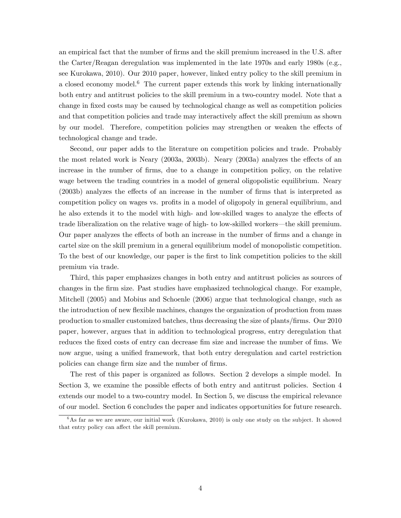an empirical fact that the number of firms and the skill premium increased in the U.S. after the Carter/Reagan deregulation was implemented in the late 1970s and early 1980s (e.g., see Kurokawa, 2010). Our 2010 paper, however, linked entry policy to the skill premium in a closed economy model.<sup>6</sup> The current paper extends this work by linking internationally both entry and antitrust policies to the skill premium in a two-country model. Note that a change in fixed costs may be caused by technological change as well as competition policies and that competition policies and trade may interactively affect the skill premium as shown by our model. Therefore, competition policies may strengthen or weaken the effects of technological change and trade.

Second, our paper adds to the literature on competition policies and trade. Probably the most related work is Neary  $(2003a, 2003b)$ . Neary  $(2003a)$  analyzes the effects of an increase in the number of Örms, due to a change in competition policy, on the relative wage between the trading countries in a model of general oligopolistic equilibrium. Neary  $(2003b)$  analyzes the effects of an increase in the number of firms that is interpreted as competition policy on wages vs. profits in a model of oligopoly in general equilibrium, and he also extends it to the model with high- and low-skilled wages to analyze the effects of trade liberalization on the relative wage of high- to low-skilled workers—the skill premium. Our paper analyzes the effects of both an increase in the number of firms and a change in cartel size on the skill premium in a general equilibrium model of monopolistic competition. To the best of our knowledge, our paper is the first to link competition policies to the skill premium via trade.

Third, this paper emphasizes changes in both entry and antitrust policies as sources of changes in the Örm size. Past studies have emphasized technological change. For example, Mitchell (2005) and Mobius and Schoenle (2006) argue that technological change, such as the introduction of new flexible machines, changes the organization of production from mass production to smaller customized batches, thus decreasing the size of plants/Örms. Our 2010 paper, however, argues that in addition to technological progress, entry deregulation that reduces the fixed costs of entry can decrease fim size and increase the number of fims. We now argue, using a unified framework, that both entry deregulation and cartel restriction policies can change firm size and the number of firms.

The rest of this paper is organized as follows. Section 2 develops a simple model. In Section 3, we examine the possible effects of both entry and antitrust policies. Section  $4$ extends our model to a two-country model. In Section 5, we discuss the empirical relevance of our model. Section 6 concludes the paper and indicates opportunities for future research.

 $6$ As far as we are aware, our initial work (Kurokawa, 2010) is only one study on the subject. It showed that entry policy can affect the skill premium.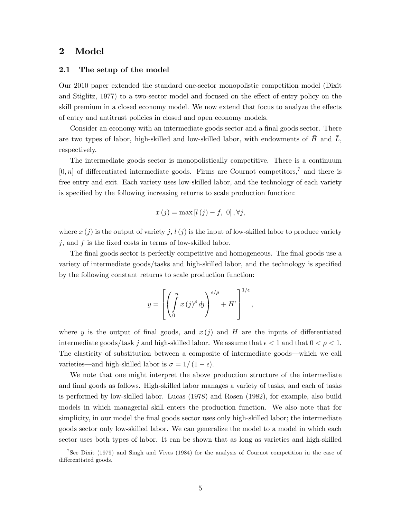## 2 Model

### 2.1 The setup of the model

Our 2010 paper extended the standard one-sector monopolistic competition model (Dixit and Stiglitz, 1977) to a two-sector model and focused on the effect of entry policy on the skill premium in a closed economy model. We now extend that focus to analyze the effects of entry and antitrust policies in closed and open economy models.

Consider an economy with an intermediate goods sector and a final goods sector. There are two types of labor, high-skilled and low-skilled labor, with endowments of  $\bar{H}$  and  $\bar{L}$ , respectively.

The intermediate goods sector is monopolistically competitive. There is a continuum  $[0, n]$  of differentiated intermediate goods. Firms are Cournot competitors,<sup>7</sup> and there is free entry and exit. Each variety uses low-skilled labor, and the technology of each variety is specified by the following increasing returns to scale production function:

$$
x(j) = \max [l(j) - f, 0], \forall j,
$$

where  $x(j)$  is the output of variety j,  $l(j)$  is the input of low-skilled labor to produce variety j, and  $f$  is the fixed costs in terms of low-skilled labor.

The final goods sector is perfectly competitive and homogeneous. The final goods use a variety of intermediate goods/tasks and high-skilled labor, and the technology is specified by the following constant returns to scale production function:

$$
y = \left[ \left( \int_0^n x(j)^{\rho} \, dj \right)^{\epsilon/\rho} + H^{\epsilon} \right]^{1/\epsilon},
$$

where y is the output of final goods, and  $x(j)$  and H are the inputs of differentiated intermediate goods/task j and high-skilled labor. We assume that  $\epsilon < 1$  and that  $0 < \rho < 1$ . The elasticity of substitution between a composite of intermediate goods—which we call varieties—and high-skilled labor is  $\sigma = 1/(1 - \epsilon)$ .

We note that one might interpret the above production structure of the intermediate and final goods as follows. High-skilled labor manages a variety of tasks, and each of tasks is performed by low-skilled labor. Lucas (1978) and Rosen (1982), for example, also build models in which managerial skill enters the production function. We also note that for simplicity, in our model the final goods sector uses only high-skilled labor; the intermediate goods sector only low-skilled labor. We can generalize the model to a model in which each sector uses both types of labor. It can be shown that as long as varieties and high-skilled

<sup>7</sup> See Dixit (1979) and Singh and Vives (1984) for the analysis of Cournot competition in the case of differentiated goods.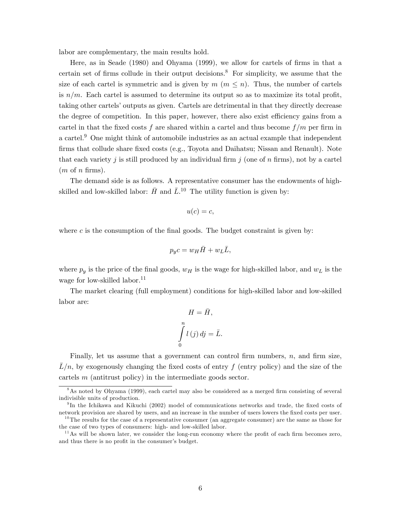labor are complementary, the main results hold.

Here, as in Seade (1980) and Ohyama (1999), we allow for cartels of firms in that a certain set of firms collude in their output decisions.<sup>8</sup> For simplicity, we assume that the size of each cartel is symmetric and is given by  $m \ (m \leq n)$ . Thus, the number of cartels is  $n/m$ . Each cartel is assumed to determine its output so as to maximize its total profit, taking other cartels' outputs as given. Cartels are detrimental in that they directly decrease the degree of competition. In this paper, however, there also exist efficiency gains from a cartel in that the fixed costs f are shared within a cartel and thus become  $f/m$  per firm in a cartel.<sup>9</sup> One might think of automobile industries as an actual example that independent firms that collude share fixed costs (e.g., Toyota and Daihatsu; Nissan and Renault). Note that each variety j is still produced by an individual firm j (one of n firms), not by a cartel  $(m \text{ of } n \text{ firms}).$ 

The demand side is as follows. A representative consumer has the endowments of highskilled and low-skilled labor:  $\bar{H}$  and  $\bar{L}$ .<sup>10</sup> The utility function is given by:

$$
u(c) = c,
$$

where c is the consumption of the final goods. The budget constraint is given by:

$$
p_yc = w_H \bar{H} + w_L \bar{L},
$$

where  $p_y$  is the price of the final goods,  $w_H$  is the wage for high-skilled labor, and  $w_L$  is the wage for low-skilled labor.<sup>11</sup>

The market clearing (full employment) conditions for high-skilled labor and low-skilled labor are:

$$
H = \bar{H},
$$

$$
\int_{0}^{n} l(j) \, dj = \bar{L}.
$$

Finally, let us assume that a government can control firm numbers,  $n$ , and firm size,  $\bar{L}/n$ , by exogenously changing the fixed costs of entry f (entry policy) and the size of the cartels m (antitrust policy) in the intermediate goods sector.

 $8\text{As noted by Ohyama (1999), each cartel may also be considered as a merged firm consisting of several$ indivisible units of production.

<sup>&</sup>lt;sup>9</sup>In the Ichikawa and Kikuchi (2002) model of communications networks and trade, the fixed costs of network provision are shared by users, and an increase in the number of users lowers the fixed costs per user.

 $10$ The results for the case of a representative consumer (an aggregate consumer) are the same as those for the case of two types of consumers: high- and low-skilled labor.

 $11$ As will be shown later, we consider the long-run economy where the profit of each firm becomes zero, and thus there is no profit in the consumer's budget.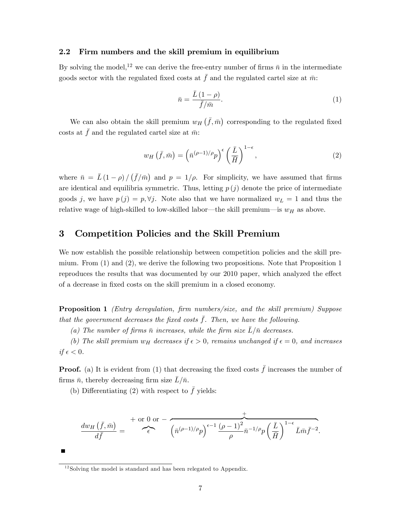### 2.2 Firm numbers and the skill premium in equilibrium

By solving the model,<sup>12</sup> we can derive the free-entry number of firms  $\bar{n}$  in the intermediate goods sector with the regulated fixed costs at  $\bar{f}$  and the regulated cartel size at  $\bar{m}$ :

$$
\bar{n} = \frac{\bar{L}(1-\rho)}{\bar{f}/\bar{m}}.\tag{1}
$$

We can also obtain the skill premium  $w_H(\bar{f}, \bar{m})$  corresponding to the regulated fixed costs at  $\bar{f}$  and the regulated cartel size at  $\bar{m}$ :

$$
w_H\left(\bar{f},\bar{m}\right) = \left(\bar{n}^{(\rho-1)/\rho}p\right)^{\epsilon} \left(\frac{\bar{L}}{\bar{H}}\right)^{1-\epsilon},\tag{2}
$$

where  $\bar{n} = \bar{L}(1-\rho)/(\bar{f}/\bar{m})$  and  $p = 1/\rho$ . For simplicity, we have assumed that firms are identical and equilibria symmetric. Thus, letting  $p(j)$  denote the price of intermediate goods j, we have  $p(j) = p, \forall j$ . Note also that we have normalized  $w_L = 1$  and thus the relative wage of high-skilled to low-skilled labor—the skill premium—is  $w_H$  as above.

## 3 Competition Policies and the Skill Premium

We now establish the possible relationship between competition policies and the skill premium. From (1) and (2), we derive the following two propositions. Note that Proposition 1 reproduces the results that was documented by our 2010 paper, which analyzed the effect of a decrease in Öxed costs on the skill premium in a closed economy.

**Proposition 1** (Entry deregulation, firm numbers/size, and the skill premium) Suppose that the government decreases the fixed costs  $\bar{f}$ . Then, we have the following.

(a) The number of firms  $\bar{n}$  increases, while the firm size  $\bar{L}/\bar{n}$  decreases.

(b) The skill premium  $w_H$  decreases if  $\epsilon > 0$ , remains unchanged if  $\epsilon = 0$ , and increases if  $\epsilon < 0$ .

**Proof.** (a) It is evident from (1) that decreasing the fixed costs  $\bar{f}$  increases the number of firms  $\bar{n}$ , thereby decreasing firm size  $L/\bar{n}$ .

(b) Differentiating (2) with respect to  $\bar{f}$  yields:

$$
\frac{dw_H\left(\bar{f},\bar{m}\right)}{d\bar{f}}=\int\limits^{+\text{ or } 0 \text{ or } -}\left(\bar{n}^{(\rho-1)/\rho}p\right)^{\epsilon-1}\frac{\left(\rho-1\right)^2}{\rho}\bar{n}^{-1/\rho}p\left(\frac{\bar{L}}{\bar{H}}\right)^{1-\epsilon}\bar{L}\bar{m}\bar{f}^{-2}.
$$

 $12$ Solving the model is standard and has been relegated to Appendix.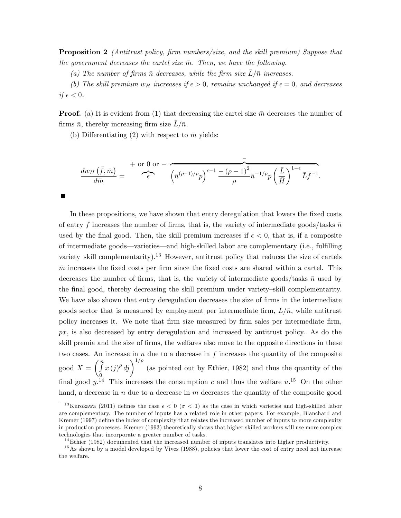Proposition 2 (Antitrust policy, firm numbers/size, and the skill premium) Suppose that the government decreases the cartel size  $\bar{m}$ . Then, we have the following.

(a) The number of firms  $\bar{n}$  decreases, while the firm size  $\bar{L}/\bar{n}$  increases.

(b) The skill premium  $w_H$  increases if  $\epsilon > 0$ , remains unchanged if  $\epsilon = 0$ , and decreases if  $\epsilon < 0$ .

**Proof.** (a) It is evident from (1) that decreasing the cartel size  $\bar{m}$  decreases the number of firms  $\bar{n}$ , thereby increasing firm size  $L/\bar{n}$ .

(b) Differentiating (2) with respect to  $\bar{m}$  yields:

 $\blacksquare$ 

$$
\frac{dw_H(\bar{f}, \bar{m})}{d\bar{m}} = \sum_{\epsilon}^{+\text{ or } 0 \text{ or } -} \frac{1}{(\bar{n}^{(\rho-1)/\rho}p)^{\epsilon-1} \frac{-(\rho-1)^2}{\rho} \bar{n}^{-1/\rho}p \left(\frac{\bar{L}}{\bar{H}}\right)^{1-\epsilon} \bar{L}\bar{f}^{-1}}.
$$

In these propositions, we have shown that entry deregulation that lowers the fixed costs of entry  $\bar{f}$  increases the number of firms, that is, the variety of intermediate goods/tasks  $\bar{n}$ used by the final good. Then, the skill premium increases if  $\epsilon < 0$ , that is, if a composite of intermediate goods—varieties—and high-skilled labor are complementary (i.e., fulfilling variety–skill complementarity).<sup>13</sup> However, antitrust policy that reduces the size of cartels  $\bar{m}$  increases the fixed costs per firm since the fixed costs are shared within a cartel. This decreases the number of firms, that is, the variety of intermediate goods/tasks  $\bar{n}$  used by the final good, thereby decreasing the skill premium under variety-skill complementarity. We have also shown that entry deregulation decreases the size of firms in the intermediate goods sector that is measured by employment per intermediate firm,  $L/\bar{n}$ , while antitrust policy increases it. We note that Örm size measured by Örm sales per intermediate Örm,  $px$ , is also decreased by entry deregulation and increased by antitrust policy. As do the skill premia and the size of firms, the welfares also move to the opposite directions in these two cases. An increase in  $n$  due to a decrease in  $f$  increases the quantity of the composite  $\operatorname{good}~X =$  $\binom{n}{r}$  $\overline{0}$  $\left(x(j)^{\rho} d_j\right)^{1/\rho}$  (as pointed out by Ethier, 1982) and thus the quantity of the final good  $y$ <sup>14</sup>. This increases the consumption c and thus the welfare  $u$ <sup>15</sup>. On the other hand, a decrease in n due to a decrease in m decreases the quantity of the composite good

<sup>&</sup>lt;sup>13</sup>Kurokawa (2011) defines the case  $\epsilon < 0$  ( $\sigma < 1$ ) as the case in which varieties and high-skilled labor are complementary. The number of inputs has a related role in other papers. For example, Blanchard and Kremer (1997) define the index of complexity that relates the increased number of inputs to more complexity in production processes. Kremer (1993) theoretically shows that higher skilled workers will use more complex technologies that incorporate a greater number of tasks.

 $14$ Ethier (1982) documented that the increased number of inputs translates into higher productivity.

<sup>&</sup>lt;sup>15</sup>As shown by a model developed by Vives (1988), policies that lower the cost of entry need not increase the welfare.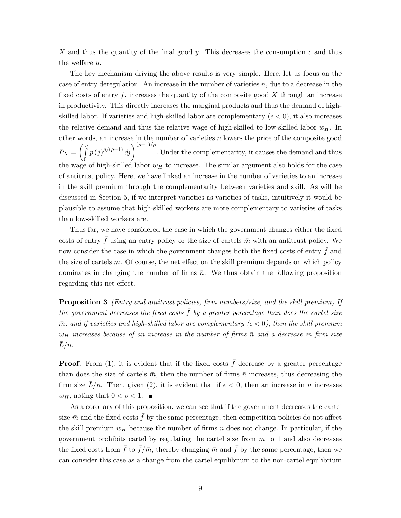X and thus the quantity of the final good y. This decreases the consumption c and thus the welfare u.

The key mechanism driving the above results is very simple. Here, let us focus on the case of entry deregulation. An increase in the number of varieties  $n$ , due to a decrease in the fixed costs of entry f, increases the quantity of the composite good  $X$  through an increase in productivity. This directly increases the marginal products and thus the demand of highskilled labor. If varieties and high-skilled labor are complementary ( $\epsilon < 0$ ), it also increases the relative demand and thus the relative wage of high-skilled to low-skilled labor  $w_H$ . In other words, an increase in the number of varieties n lowers the price of the composite good  $P_X =$  $\left(\begin{array}{c}n\\r\end{array}\right)$  $\boldsymbol{0}$  $p(j)^{\rho/(\rho-1)}$  dj  $\bigg)^{(\rho-1)/\rho}$ . Under the complementarity, it causes the demand and thus the wage of high-skilled labor  $w_H$  to increase. The similar argument also holds for the case of antitrust policy. Here, we have linked an increase in the number of varieties to an increase in the skill premium through the complementarity between varieties and skill. As will be discussed in Section 5, if we interpret varieties as varieties of tasks, intuitively it would be plausible to assume that high-skilled workers are more complementary to varieties of tasks than low-skilled workers are.

Thus far, we have considered the case in which the government changes either the fixed costs of entry  $\bar{f}$  using an entry policy or the size of cartels  $\bar{m}$  with an antitrust policy. We now consider the case in which the government changes both the fixed costs of entry  $\bar{f}$  and the size of cartels  $\bar{m}$ . Of course, the net effect on the skill premium depends on which policy dominates in changing the number of firms  $\bar{n}$ . We thus obtain the following proposition regarding this net effect.

**Proposition 3** (Entry and antitrust policies, firm numbers/size, and the skill premium) If the government decreases the fixed costs  $\bar{f}$  by a greater percentage than does the cartel size  $\bar{m}$ , and if varieties and high-skilled labor are complementary ( $\epsilon < 0$ ), then the skill premium  $w_H$  increases because of an increase in the number of firms  $\bar{n}$  and a decrease in firm size  $\bar L/\bar n$ .

**Proof.** From (1), it is evident that if the fixed costs  $\bar{f}$  decrease by a greater percentage than does the size of cartels  $\bar{m}$ , then the number of firms  $\bar{n}$  increases, thus decreasing the firm size  $L/\bar{n}$ . Then, given (2), it is evident that if  $\epsilon < 0$ , then an increase in  $\bar{n}$  increases  $w_H$ , noting that  $0 < \rho < 1$ .

As a corollary of this proposition, we can see that if the government decreases the cartel size  $\bar{m}$  and the fixed costs  $\bar{f}$  by the same percentage, then competition policies do not affect the skill premium  $w_H$  because the number of firms  $\bar{n}$  does not change. In particular, if the government prohibits cartel by regulating the cartel size from  $\bar{m}$  to 1 and also decreases the fixed costs from  $\bar{f}$  to  $\bar{f}/\bar{m}$ , thereby changing  $\bar{m}$  and  $\bar{f}$  by the same percentage, then we can consider this case as a change from the cartel equilibrium to the non-cartel equilibrium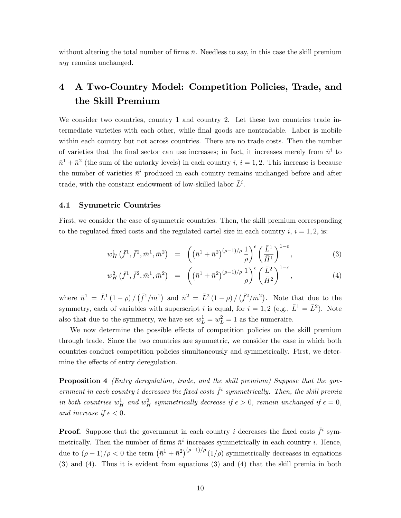without altering the total number of firms  $\bar{n}$ . Needless to say, in this case the skill premium  $w_H$  remains unchanged.

## 4 A Two-Country Model: Competition Policies, Trade, and the Skill Premium

We consider two countries, country 1 and country 2. Let these two countries trade intermediate varieties with each other, while Önal goods are nontradable. Labor is mobile within each country but not across countries. There are no trade costs. Then the number of varieties that the final sector can use increases; in fact, it increases merely from  $\bar{n}^i$  to  $\bar{n}^1 + \bar{n}^2$  (the sum of the autarky levels) in each country i,  $i = 1, 2$ . This increase is because the number of varieties  $\bar{n}^i$  produced in each country remains unchanged before and after trade, with the constant endowment of low-skilled labor  $\bar{L}^i$ .

### 4.1 Symmetric Countries

First, we consider the case of symmetric countries. Then, the skill premium corresponding to the regulated fixed costs and the regulated cartel size in each country i,  $i = 1, 2$ , is:

$$
w_H^1(\bar{f}^1, \bar{f}^2, \bar{m}^1, \bar{m}^2) = \left( \left( \bar{n}^1 + \bar{n}^2 \right)^{(\rho - 1)/\rho} \frac{1}{\rho} \right)^{\epsilon} \left( \frac{\bar{L}^1}{\bar{H}^1} \right)^{1 - \epsilon}, \tag{3}
$$

$$
w_H^2(\bar{f}^1, \bar{f}^2, \bar{m}^1, \bar{m}^2) = \left( \left( \bar{n}^1 + \bar{n}^2 \right)^{(\rho - 1)/\rho} \frac{1}{\rho} \right)^{\epsilon} \left( \frac{\bar{L}^2}{\bar{H}^2} \right)^{1 - \epsilon}, \tag{4}
$$

where  $\bar{n}^1 = \bar{L}^1(1-\rho)/(\bar{f}^1/\bar{m}^1)$  and  $\bar{n}^2 = \bar{L}^2(1-\rho)/(\bar{f}^2/\bar{m}^2)$ . Note that due to the symmetry, each of variables with superscript *i* is equal, for  $i = 1, 2$  (e.g.,  $\bar{L}^1 = \bar{L}^2$ ). Note also that due to the symmetry, we have set  $w_L^1 = w_L^2 = 1$  as the numeraire.

We now determine the possible effects of competition policies on the skill premium through trade. Since the two countries are symmetric, we consider the case in which both countries conduct competition policies simultaneously and symmetrically. First, we determine the effects of entry deregulation.

**Proposition 4** (Entry deregulation, trade, and the skill premium) Suppose that the government in each country i decreases the fixed costs  $\bar{f}^i$  symmetrically. Then, the skill premia in both countries  $w_H^1$  and  $w_H^2$  symmetrically decrease if  $\epsilon > 0$ , remain unchanged if  $\epsilon = 0$ , and increase if  $\epsilon < 0$ .

**Proof.** Suppose that the government in each country i decreases the fixed costs  $\bar{f}^i$  symmetrically. Then the number of firms  $\bar{n}^i$  increases symmetrically in each country *i*. Hence, due to  $(\rho - 1)/\rho < 0$  the term  $(\bar{n}^1 + \bar{n}^2)^{(\rho - 1)/\rho} (1/\rho)$  symmetrically decreases in equations (3) and (4). Thus it is evident from equations (3) and (4) that the skill premia in both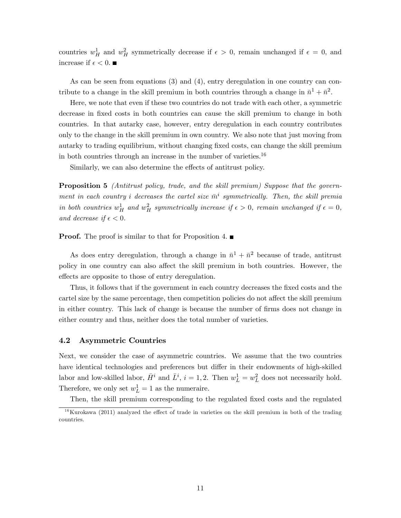countries  $w_H^1$  and  $w_H^2$  symmetrically decrease if  $\epsilon > 0$ , remain unchanged if  $\epsilon = 0$ , and increase if  $\epsilon < 0$ .

As can be seen from equations (3) and (4), entry deregulation in one country can contribute to a change in the skill premium in both countries through a change in  $\bar{n}^1 + \bar{n}^2$ .

Here, we note that even if these two countries do not trade with each other, a symmetric decrease in fixed costs in both countries can cause the skill premium to change in both countries. In that autarky case, however, entry deregulation in each country contributes only to the change in the skill premium in own country. We also note that just moving from autarky to trading equilibrium, without changing Öxed costs, can change the skill premium in both countries through an increase in the number of varieties.<sup>16</sup>

Similarly, we can also determine the effects of antitrust policy.

**Proposition 5** (Antitrust policy, trade, and the skill premium) Suppose that the government in each country i decreases the cartel size  $\bar{m}^i$  symmetrically. Then, the skill premia in both countries  $w_H^1$  and  $w_H^2$  symmetrically increase if  $\epsilon > 0$ , remain unchanged if  $\epsilon = 0$ , and decrease if  $\epsilon < 0$ .

**Proof.** The proof is similar to that for Proposition 4.  $\blacksquare$ 

As does entry deregulation, through a change in  $\bar{n}^1 + \bar{n}^2$  because of trade, antitrust policy in one country can also affect the skill premium in both countries. However, the effects are opposite to those of entry deregulation.

Thus, it follows that if the government in each country decreases the fixed costs and the cartel size by the same percentage, then competition policies do not affect the skill premium in either country. This lack of change is because the number of firms does not change in either country and thus, neither does the total number of varieties.

### 4.2 Asymmetric Countries

Next, we consider the case of asymmetric countries. We assume that the two countries have identical technologies and preferences but differ in their endowments of high-skilled labor and low-skilled labor,  $\bar{H}^i$  and  $\bar{L}^i$ ,  $i = 1, 2$ . Then  $w_L^1 = w_L^2$  does not necessarily hold. Therefore, we only set  $w_L^1 = 1$  as the numeraire.

Then, the skill premium corresponding to the regulated fixed costs and the regulated

 $16$ Kurokawa (2011) analyzed the effect of trade in varieties on the skill premium in both of the trading countries.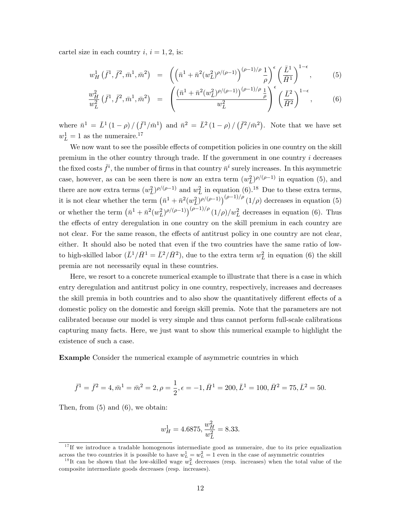cartel size in each country  $i, i = 1, 2$ , is:

$$
w_H^1(\bar{f}^1, \bar{f}^2, \bar{m}^1, \bar{m}^2) = \left( \left( \bar{n}^1 + \bar{n}^2 (w_L^2)^{\rho/(\rho - 1)} \right)^{(\rho - 1)/\rho} \frac{1}{\rho} \right)^{\epsilon} \left( \frac{\bar{L}^1}{\bar{H}^1} \right)^{1 - \epsilon}, \tag{5}
$$

$$
\frac{w_H^2}{w_L^2} \left( \bar{f}^1, \bar{f}^2, \bar{m}^1, \bar{m}^2 \right) = \left( \frac{\left( \bar{n}^1 + \bar{n}^2 (w_L^2)^{\rho/(\rho - 1)} \right)^{(\rho - 1)/\rho} \frac{1}{\rho}}{w_L^2} \right)^{\epsilon} \left( \frac{\bar{L}^2}{\bar{H}^2} \right)^{1 - \epsilon}, \quad (6)
$$

where  $\bar{n}^1 = \bar{L}^1(1-\rho)/(\bar{f}^1/\bar{m}^1)$  and  $\bar{n}^2 = \bar{L}^2(1-\rho)/(\bar{f}^2/\bar{m}^2)$ . Note that we have set  $w_L^1 = 1$  as the numeraire.<sup>17</sup>

We now want to see the possible effects of competition policies in one country on the skill premium in the other country through trade. If the government in one country  $i$  decreases the fixed costs  $\bar{f}^i$ , the number of firms in that country  $\bar{n}^i$  surely increases. In this asymmetric case, however, as can be seen there is now an extra term  $(w<sub>L</sub><sup>2</sup>)^{\rho/(\rho-1)}$  in equation (5), and there are now extra terms  $(w_L^2)^{\rho/(\rho-1)}$  and  $w_L^2$  in equation (6).<sup>18</sup> Due to these extra terms, it is not clear whether the term  $(\bar{n}^1 + \bar{n}^2(w_L^2)^{\rho/(\rho-1)})^{(\rho-1)/\rho}$  (1/ $\rho$ ) decreases in equation (5) or whether the term  $(\bar{n}^1 + \bar{n}^2(w_L^2)^{\rho/(\rho-1)})^{(\rho-1)/\rho} (1/\rho)/w_L^2$  decreases in equation (6). Thus the effects of entry deregulation in one country on the skill premium in each country are not clear. For the same reason, the effects of antitrust policy in one country are not clear, either. It should also be noted that even if the two countries have the same ratio of lowto high-skilled labor  $(\bar{L}^1/\bar{H}^1 = \bar{L}^2/\bar{H}^2)$ , due to the extra term  $w_L^2$  in equation (6) the skill premia are not necessarily equal in these countries.

Here, we resort to a concrete numerical example to illustrate that there is a case in which entry deregulation and antitrust policy in one country, respectively, increases and decreases the skill premia in both countries and to also show the quantitatively different effects of a domestic policy on the domestic and foreign skill premia. Note that the parameters are not calibrated because our model is very simple and thus cannot perform full-scale calibrations capturing many facts. Here, we just want to show this numerical example to highlight the existence of such a case.

Example Consider the numerical example of asymmetric countries in which

$$
\bar{f}^1 = \bar{f}^2 = 4, \bar{m}^1 = \bar{m}^2 = 2, \rho = \frac{1}{2}, \epsilon = -1, \bar{H}^1 = 200, \bar{L}^1 = 100, \bar{H}^2 = 75, \bar{L}^2 = 50.
$$

Then, from (5) and (6), we obtain:

$$
w_H^1 = 4.6875, \frac{w_H^2}{w_L^2} = 8.33.
$$

 $17$  If we introduce a tradable homogenous intermediate good as numeraire, due to its price equalization across the two countries it is possible to have  $w_L^1 = w_L^2 = 1$  even in the case of asymmetric countries

<sup>&</sup>lt;sup>18</sup>It can be shown that the low-skilled wage  $w<sub>L</sub><sup>2</sup>$  decreases (resp. increases) when the total value of the composite intermediate goods decreases (resp. increases).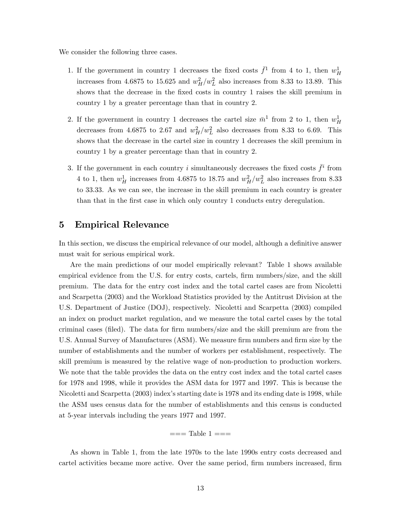We consider the following three cases.

- 1. If the government in country 1 decreases the fixed costs  $\bar{f}^1$  from 4 to 1, then  $w_H^1$ increases from 4.6875 to 15.625 and  $w_H^2/w_L^2$  also increases from 8.33 to 13.89. This shows that the decrease in the fixed costs in country 1 raises the skill premium in country 1 by a greater percentage than that in country 2.
- 2. If the government in country 1 decreases the cartel size  $\bar{m}^1$  from 2 to 1, then  $w_H^1$ decreases from 4.6875 to 2.67 and  $w_H^2/w_L^2$  also decreases from 8.33 to 6.69. This shows that the decrease in the cartel size in country 1 decreases the skill premium in country 1 by a greater percentage than that in country 2.
- 3. If the government in each country i simultaneously decreases the fixed costs  $\bar{f}^i$  from 4 to 1, then  $w_H^1$  increases from 4.6875 to 18.75 and  $w_H^2/w_L^2$  also increases from 8.33 to 33.33. As we can see, the increase in the skill premium in each country is greater than that in the first case in which only country 1 conducts entry deregulation.

### 5 Empirical Relevance

In this section, we discuss the empirical relevance of our model, although a definitive answer must wait for serious empirical work.

Are the main predictions of our model empirically relevant? Table 1 shows available empirical evidence from the U.S. for entry costs, cartels, firm numbers/size, and the skill premium. The data for the entry cost index and the total cartel cases are from Nicoletti and Scarpetta (2003) and the Workload Statistics provided by the Antitrust Division at the U.S. Department of Justice (DOJ), respectively. Nicoletti and Scarpetta (2003) compiled an index on product market regulation, and we measure the total cartel cases by the total criminal cases (Öled). The data for Örm numbers/size and the skill premium are from the U.S. Annual Survey of Manufactures (ASM). We measure firm numbers and firm size by the number of establishments and the number of workers per establishment, respectively. The skill premium is measured by the relative wage of non-production to production workers. We note that the table provides the data on the entry cost index and the total cartel cases for 1978 and 1998, while it provides the ASM data for 1977 and 1997. This is because the Nicoletti and Scarpetta (2003) index's starting date is 1978 and its ending date is 1998, while the ASM uses census data for the number of establishments and this census is conducted at 5-year intervals including the years 1977 and 1997.

$$
= ==
$$
 Table 1  $= ==$ 

As shown in Table 1, from the late 1970s to the late 1990s entry costs decreased and cartel activities became more active. Over the same period, firm numbers increased, firm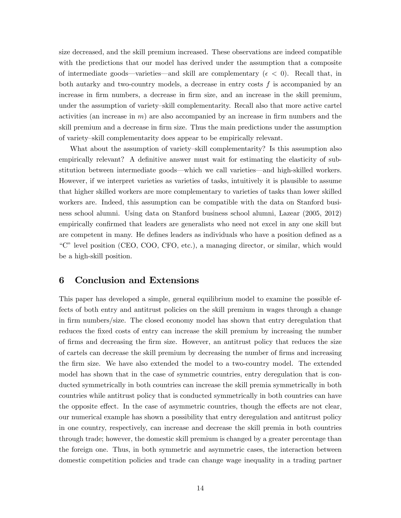size decreased, and the skill premium increased. These observations are indeed compatible with the predictions that our model has derived under the assumption that a composite of intermediate goods—varieties—and skill are complementary ( $\epsilon < 0$ ). Recall that, in both autarky and two-country models, a decrease in entry costs  $f$  is accompanied by an increase in firm numbers, a decrease in firm size, and an increase in the skill premium, under the assumption of variety-skill complementarity. Recall also that more active cartel activities (an increase in  $m$ ) are also accompanied by an increase in firm numbers and the skill premium and a decrease in firm size. Thus the main predictions under the assumption of variety-skill complementarity does appear to be empirically relevant.

What about the assumption of variety–skill complementarity? Is this assumption also empirically relevant? A definitive answer must wait for estimating the elasticity of substitution between intermediate goods—which we call varieties—and high-skilled workers. However, if we interpret varieties as varieties of tasks, intuitively it is plausible to assume that higher skilled workers are more complementary to varieties of tasks than lower skilled workers are. Indeed, this assumption can be compatible with the data on Stanford business school alumni. Using data on Stanford business school alumni, Lazear (2005, 2012) empirically confirmed that leaders are generalists who need not excel in any one skill but are competent in many. He defines leaders as individuals who have a position defined as a ìCî level position (CEO, COO, CFO, etc.), a managing director, or similar, which would be a high-skill position.

## 6 Conclusion and Extensions

This paper has developed a simple, general equilibrium model to examine the possible effects of both entry and antitrust policies on the skill premium in wages through a change in firm numbers/size. The closed economy model has shown that entry deregulation that reduces the fixed costs of entry can increase the skill premium by increasing the number of Örms and decreasing the Örm size. However, an antitrust policy that reduces the size of cartels can decrease the skill premium by decreasing the number of Örms and increasing the firm size. We have also extended the model to a two-country model. The extended model has shown that in the case of symmetric countries, entry deregulation that is conducted symmetrically in both countries can increase the skill premia symmetrically in both countries while antitrust policy that is conducted symmetrically in both countries can have the opposite effect. In the case of asymmetric countries, though the effects are not clear, our numerical example has shown a possibility that entry deregulation and antitrust policy in one country, respectively, can increase and decrease the skill premia in both countries through trade; however, the domestic skill premium is changed by a greater percentage than the foreign one. Thus, in both symmetric and asymmetric cases, the interaction between domestic competition policies and trade can change wage inequality in a trading partner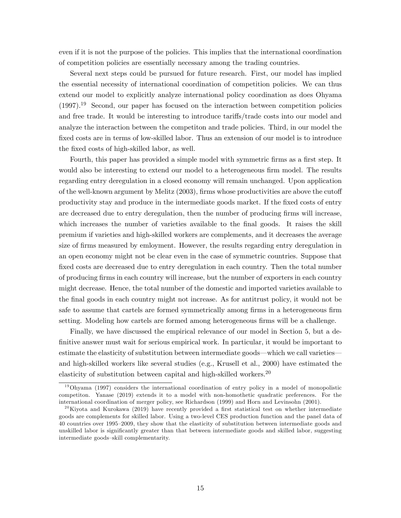even if it is not the purpose of the policies. This implies that the international coordination of competition policies are essentially necessary among the trading countries.

Several next steps could be pursued for future research. First, our model has implied the essential necessity of international coordination of competition policies. We can thus extend our model to explicitly analyze international policy coordination as does Ohyama  $(1997).$ <sup>19</sup> Second, our paper has focused on the interaction between competition policies and free trade. It would be interesting to introduce tariffs/trade costs into our model and analyze the interaction between the competiton and trade policies. Third, in our model the fixed costs are in terms of low-skilled labor. Thus an extension of our model is to introduce the fixed costs of high-skilled labor, as well.

Fourth, this paper has provided a simple model with symmetric firms as a first step. It would also be interesting to extend our model to a heterogeneous firm model. The results regarding entry deregulation in a closed economy will remain unchanged. Upon application of the well-known argument by Melitz  $(2003)$ , firms whose productivities are above the cutoff productivity stay and produce in the intermediate goods market. If the fixed costs of entry are decreased due to entry deregulation, then the number of producing firms will increase, which increases the number of varieties available to the final goods. It raises the skill premium if varieties and high-skilled workers are complements, and it decreases the average size of firms measured by emloyment. However, the results regarding entry deregulation in an open economy might not be clear even in the case of symmetric countries. Suppose that fixed costs are decreased due to entry deregulation in each country. Then the total number of producing Örms in each country will increase, but the number of exporters in each country might decrease. Hence, the total number of the domestic and imported varieties available to the final goods in each country might not increase. As for antitrust policy, it would not be safe to assume that cartels are formed symmetrically among firms in a heterogeneous firm setting. Modeling how cartels are formed among heterogeneous firms will be a challenge.

Finally, we have discussed the empirical relevance of our model in Section 5, but a definitive answer must wait for serious empirical work. In particular, it would be important to estimate the elasticity of substitution between intermediate goods—which we call varieties and high-skilled workers like several studies (e.g., Krusell et al., 2000) have estimated the elasticity of substitution between capital and high-skilled workers.<sup>20</sup>

 $19$ Ohyama (1997) considers the international coordination of entry policy in a model of monopolistic competiton. Yanase (2019) extends it to a model with non-homothetic quadratic preferences. For the international coordination of merger policy, see Richardson (1999) and Horn and Levinsohn (2001).

<sup>&</sup>lt;sup>20</sup>Kiyota and Kurokawa (2019) have recently provided a first statistical test on whether intermediate goods are complements for skilled labor. Using a two-level CES production function and the panel data of 40 countries over 1995–2009, they show that the elasticity of substitution between intermediate goods and unskilled labor is significantly greater than that between intermediate goods and skilled labor, suggesting intermediate goods-skill complementarity.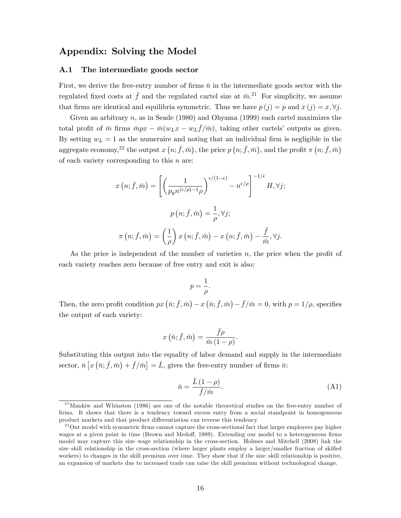## Appendix: Solving the Model

### A.1 The intermediate goods sector

First, we derive the free-entry number of firms  $\bar{n}$  in the intermediate goods sector with the regulated fixed costs at  $\bar{f}$  and the regulated cartel size at  $\bar{m}$ .<sup>21</sup> For simplicity, we assume that firms are identical and equilibria symmetric. Thus we have  $p(j) = p$  and  $x(j) = x, \forall j$ .

Given an arbitrary  $n$ , as in Seade (1980) and Ohyama (1999) each cartel maximizes the total profit of  $\bar{m}$  firms  $\bar{m}px - \bar{m}(w_Lx - w_L\bar{f}/\bar{m})$ , taking other cartels' outputs as given. By setting  $w<sub>L</sub> = 1$  as the numeraire and noting that an individual firm is negligible in the aggregate economy,<sup>22</sup> the output  $x(n;\bar{f}, \bar{m})$ , the price  $p(n;\bar{f}, \bar{m})$ , and the profit  $\pi(n;\bar{f}, \bar{m})$ of each variety corresponding to this  $n$  are:

$$
x(n; \bar{f}, \bar{m}) = \left[ \left( \frac{1}{p_y n^{(\epsilon/\rho)-1} \rho} \right)^{\epsilon/(1-\epsilon)} - n^{\epsilon/\rho} \right]^{-1/\epsilon} H, \forall j;
$$

$$
p(n; \bar{f}, \bar{m}) = \frac{1}{\rho}, \forall j;
$$

$$
\pi(n; \bar{f}, \bar{m}) = \left( \frac{1}{\rho} \right) x(n; \bar{f}, \bar{m}) - x(n; \bar{f}, \bar{m}) - \frac{\bar{f}}{\bar{m}}, \forall j.
$$

As the price is independent of the number of varieties  $n$ , the price when the profit of each variety reaches zero because of free entry and exit is also:

$$
p=\frac{1}{\rho}.
$$

Then, the zero profit condition  $px(\bar{n}; \bar{f}, \bar{m}) - x(\bar{n}; \bar{f}, \bar{m}) - \bar{f}/\bar{m} = 0$ , with  $p = 1/\rho$ , specifies the output of each variety:

$$
x(\bar{n}; \bar{f}, \bar{m}) = \frac{\bar{f}\rho}{\bar{m}(1-\rho)}.
$$

Substituting this output into the equality of labor demand and supply in the intermediate sector,  $\bar{n} [x(\bar{n}; \bar{f}, \bar{m}) + \bar{f}/\bar{m}] = \bar{L}$ , gives the free-entry number of firms  $\bar{n}$ :

$$
\bar{n} = \frac{\bar{L}(1-\rho)}{\bar{f}/\bar{m}}.\tag{A1}
$$

 $^{21}$ Mankiw and Whinston (1986) are one of the notable theoretical studies on the free-entry number of firms. It shows that there is a tendency toward excess entry from a social standpoint in homogeneous product markets and that product differentiation can reverse this tendency.

 $22$ Our model with symmetric firms cannot capture the cross-sectional fact that larger employers pay higher wages at a given point in time (Brown and Medoff, 1989). Extending our model to a heterogeneous firms model may capture this size–wage relationship in the cross-section. Holmes and Mitchell (2008) link the size–skill relationship in the cross-section (where larger plants employ a larger/smaller fraction of skilled workers) to changes in the skill premium over time. They show that if the size-skill relationship is positive, an expansion of markets due to increased trade can raise the skill premium without technological change.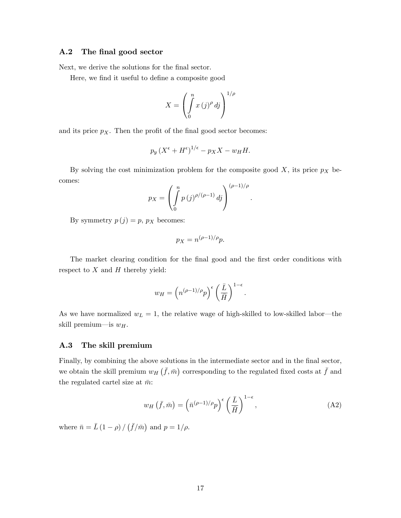### A.2 The final good sector

Next, we derive the solutions for the final sector.

Here, we find it useful to define a composite good

$$
X = \left(\int\limits_0^n x\,(j)^{\rho}\,dj\right)^{1/\rho}
$$

and its price  $p_X$ . Then the profit of the final good sector becomes:

$$
p_y\left(X^{\epsilon} + H^{\epsilon}\right)^{1/\epsilon} - p_X X - w_H H.
$$

By solving the cost minimization problem for the composite good  $X$ , its price  $p_X$  becomes:

$$
p_X = \left(\int_0^n p(j)^{\rho/(\rho-1)} \, dj\right)^{(\rho-1)/\rho}
$$

By symmetry  $p(j) = p$ ,  $p_X$  becomes:

$$
p_X = n^{(\rho - 1)/\rho} p.
$$

The market clearing condition for the final good and the first order conditions with respect to  $X$  and  $H$  thereby yield:

$$
w_H = \left(n^{(\rho-1)/\rho}p\right)^{\epsilon} \left(\frac{\bar{L}}{\bar{H}}\right)^{1-\epsilon}
$$

As we have normalized  $w_L = 1$ , the relative wage of high-skilled to low-skilled labor—the skill premium—is  $w_H$ .

### A.3 The skill premium

Finally, by combining the above solutions in the intermediate sector and in the final sector, we obtain the skill premium  $w_H(\bar{f}, \bar{m})$  corresponding to the regulated fixed costs at  $\bar{f}$  and the regulated cartel size at  $\bar{m}$ :

$$
w_H\left(\bar{f},\bar{m}\right) = \left(\bar{n}^{(\rho-1)/\rho}p\right)^{\epsilon} \left(\frac{\bar{L}}{\bar{H}}\right)^{1-\epsilon},\tag{A2}
$$

:

:

where  $\bar{n} = \bar{L} (1 - \rho) / (\bar{f}/\bar{m})$  and  $p = 1/\rho$ .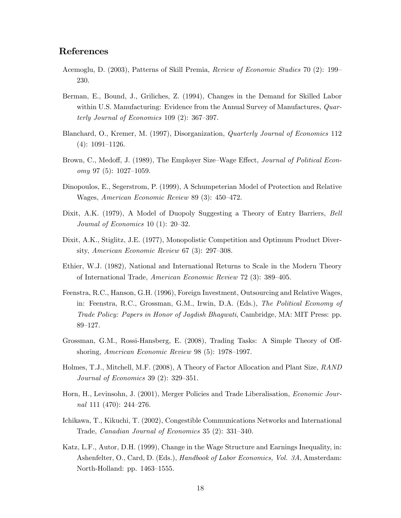## References

- Acemoglu, D. (2003), Patterns of Skill Premia, Review of Economic Studies 70 (2): 199 230.
- Berman, E., Bound, J., Griliches, Z. (1994), Changes in the Demand for Skilled Labor within U.S. Manufacturing: Evidence from the Annual Survey of Manufactures, *Quar*terly Journal of Economics  $109(2)$ : 367-397.
- Blanchard, O., Kremer, M. (1997), Disorganization, Quarterly Journal of Economics 112  $(4): 1091-1126.$
- Brown, C., Medoff, J. (1989), The Employer Size–Wage Effect, *Journal of Political Econ* $omy$  97 (5): 1027–1059.
- Dinopoulos, E., Segerstrom, P. (1999), A Schumpeterian Model of Protection and Relative Wages, American Economic Review 89 (3): 450-472.
- Dixit, A.K. (1979), A Model of Duopoly Suggesting a Theory of Entry Barriers, Bell Joumal of Economics 10 (1):  $20-32$ .
- Dixit, A.K., Stiglitz, J.E. (1977), Monopolistic Competition and Optimum Product Diversity, American Economic Review  $67$  (3):  $297-308$ .
- Ethier, W.J. (1982), National and International Returns to Scale in the Modern Theory of International Trade, American Economic Review 72  $(3)$ : 389–405.
- Feenstra, R.C., Hanson, G.H. (1996), Foreign Investment, Outsourcing and Relative Wages, in: Feenstra, R.C., Grossman, G.M., Irwin, D.A. (Eds.), The Political Economy of Trade Policy: Papers in Honor of Jagdish Bhagwati, Cambridge, MA: MIT Press: pp.  $89 - 127.$
- Grossman, G.M., Rossi-Hansberg, E. (2008), Trading Tasks: A Simple Theory of Offshoring, American Economic Review  $98(5)$ : 1978–1997.
- Holmes, T.J., Mitchell, M.F. (2008), A Theory of Factor Allocation and Plant Size, RAND *Journal of Economics* 39 (2):  $329-351$ .
- Horn, H., Levinsohn, J. (2001), Merger Policies and Trade Liberalisation, Economic Journal 111 (470):  $244-276$ .
- Ichikawa, T., Kikuchi, T. (2002), Congestible Communications Networks and International Trade, Canadian Journal of Economics 35 (2): 331-340.
- Katz, L.F., Autor, D.H. (1999), Change in the Wage Structure and Earnings Inequality, in: Ashenfelter, O., Card, D. (Eds.), Handbook of Labor Economics, Vol. 3A, Amsterdam: North-Holland: pp.  $1463-1555$ .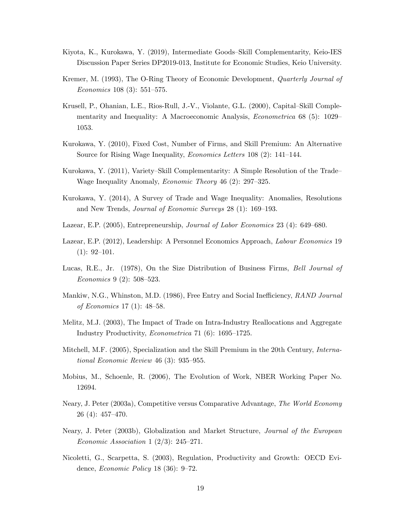- Kiyota, K., Kurokawa, Y. (2019), Intermediate Goods–Skill Complementarity, Keio-IES Discussion Paper Series DP2019-013, Institute for Economic Studies, Keio University.
- Kremer, M. (1993), The O-Ring Theory of Economic Development, *Quarterly Journal of* Economics 108 (3):  $551-575$ .
- Krusell, P., Ohanian, L.E., Rios-Rull, J.-V., Violante, G.L. (2000), Capital–Skill Complementarity and Inequality: A Macroeconomic Analysis, *Econometrica* 68 (5): 1029 1053.
- Kurokawa, Y. (2010), Fixed Cost, Number of Firms, and Skill Premium: An Alternative Source for Rising Wage Inequality, *Economics Letters* 108 (2): 141–144.
- Kurokawa, Y. (2011), Variety–Skill Complementarity: A Simple Resolution of the Trade Wage Inequality Anomaly, *Economic Theory* 46 (2):  $297-325$ .
- Kurokawa, Y. (2014), A Survey of Trade and Wage Inequality: Anomalies, Resolutions and New Trends, *Journal of Economic Surveys* 28 (1): 169–193.
- Lazear, E.P. (2005), Entrepreneurship, *Journal of Labor Economics* 23 (4): 649–680.
- Lazear, E.P. (2012), Leadership: A Personnel Economics Approach, Labour Economics 19  $(1): 92-101.$
- Lucas, R.E., Jr. (1978), On the Size Distribution of Business Firms, Bell Journal of Economics 9 (2):  $508-523$ .
- Mankiw, N.G., Whinston, M.D. (1986), Free Entry and Social Inefficiency, RAND Journal of Economics 17 (1):  $48-58$ .
- Melitz, M.J. (2003), The Impact of Trade on Intra-Industry Reallocations and Aggregate Industry Productivity, *Econometrica* 71 (6):  $1695-1725$ .
- Mitchell, M.F. (2005), Specialization and the Skill Premium in the 20th Century, International Economic Review  $46(3)$ : 935-955.
- Mobius, M., Schoenle, R. (2006), The Evolution of Work, NBER Working Paper No. 12694.
- Neary, J. Peter (2003a), Competitive versus Comparative Advantage, The World Economy  $26(4): 457-470.$
- Neary, J. Peter (2003b), Globalization and Market Structure, Journal of the European Economic Association 1  $(2/3)$ : 245-271.
- Nicoletti, G., Scarpetta, S. (2003), Regulation, Productivity and Growth: OECD Evidence, *Economic Policy* 18 (36):  $9-72$ .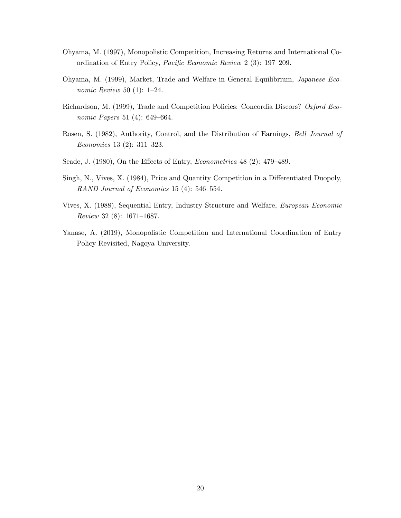- Ohyama, M. (1997), Monopolistic Competition, Increasing Returns and International Coordination of Entry Policy, Pacific Economic Review 2 (3): 197–209.
- Ohyama, M. (1999), Market, Trade and Welfare in General Equilibrium, Japanese Economic Review 50 (1):  $1-24$ .
- Richardson, M. (1999), Trade and Competition Policies: Concordia Discors? Oxford Economic Papers 51 (4):  $649-664$ .
- Rosen, S. (1982), Authority, Control, and the Distribution of Earnings, Bell Journal of Economics 13 (2):  $311-323$ .
- Seade, J. (1980), On the Effects of Entry, *Econometrica* 48 (2):  $479-489$ .
- Singh, N., Vives, X. (1984), Price and Quantity Competition in a Differentiated Duopoly, RAND Journal of Economics 15 (4):  $546-554$ .
- Vives, X. (1988), Sequential Entry, Industry Structure and Welfare, European Economic Review 32 (8):  $1671-1687$ .
- Yanase, A. (2019), Monopolistic Competition and International Coordination of Entry Policy Revisited, Nagoya University.